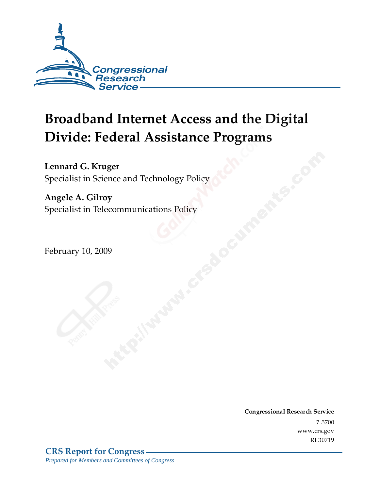

# **Broadband Internet Access and the Digital** Divide: Federal Assistance Programs

Lennard G. Kruger Specialist in Science and Technology Policy

Angele A. Gilroy Specialist in Telecommunications Policy

February 10, 2009

Conglessional Research Service  $7 - 2700$ www.crs.gov RL30719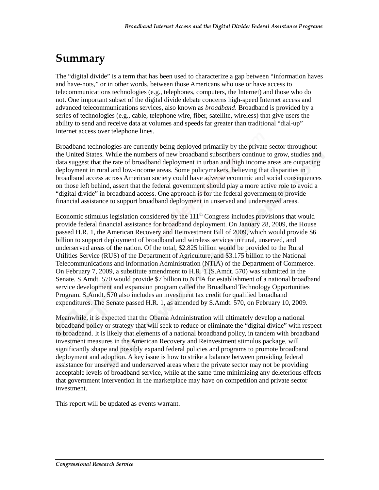## Summary

The "digital divide" is a term that has been used to characterize a gap between "information haves and have-nots," or in other words, between those Americans who use or have access to telecommunications technologies (e.g., telephones, computers, the Internet) and those who do not. One important subset of the digital divide debate concerns high-speed Internet access and advanced telecommunications services, also known as *broadband*. Broadband is provided by a series of technologies (e.g., cable, telephone wire, fiber, satellite, wireless) that give users the ability to send and receive data at volumes and speeds far greater than traditional "dial-up" Internet access over telephone lines.

Broadband technologies are currently being deployed primarily by the private sector throughout the United States. While the numbers of new broadband subscribers continue to grow, studies and data suggest that the rate of broadband deployment in urban and high income areas are outpacing deployment in rural and low-income areas. Some policymakers, believing that disparities in broadband access across American society could have adverse economic and social consequences on those left behind, assert that the federal government should play a more active role to avoid a "digital divide" in broadband access. One approach is for the federal government to provide financial assistance to support broadband deployment in unserved and underserved areas.

Economic stimulus legislation considered by the  $111<sup>th</sup>$  Congress includes provisions that would provide federal financial assistance for broadband deployment. On January 28, 2009, the House passed H.R. 1, the American Recovery and Reinvestment Bill of 2009, which would provide \$6 billion to support deployment of broadband and wireless services in rural, unserved, and underserved areas of the nation. Of the total, \$2.825 billion would be provided to the Rural Utilities Service (RUS) of the Department of Agriculture, and \$3.175 billion to the National Telecommunications and Information Administration (NTIA) of the Department of Commerce. On February 7, 2009, a substitute amendment to H.R. 1 (S.Amdt. 570) was submitted in the Senate. S.Amdt. 570 would provide \$7 billion to NTIA for establishment of a national broadband service development and expansion program called the Broadband Technology Opportunities Program. S.Amdt. 570 also includes an investment tax credit for qualified broadband expenditures. The Senate passed H.R. 1, as amended by S.Amdt. 570, on February 10, 2009.

Meanwhile, it is expected that the Obama Administration will ultimately develop a national broadband policy or strategy that will seek to reduce or eliminate the "digital divide" with respect to broadband. It is likely that elements of a national broadband policy, in tandem with broadband investment measures in the American Recovery and Reinvestment stimulus package, will significantly shape and possibly expand federal policies and programs to promote broadband deployment and adoption. A key issue is how to strike a balance between providing federal assistance for unserved and underserved areas where the private sector may not be providing acceptable levels of broadband service, while at the same time minimizing any deleterious effects that government intervention in the marketplace may have on competition and private sector investment.

This report will be updated as events warrant.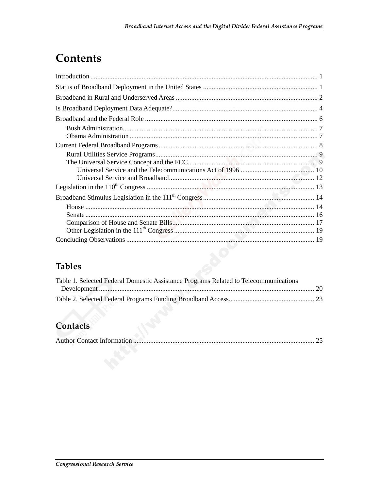## Contents

| <b>Tables</b>                                                                                                                                                                                                                                              |                                                                                                                                                                                                                                                                                                  |
|------------------------------------------------------------------------------------------------------------------------------------------------------------------------------------------------------------------------------------------------------------|--------------------------------------------------------------------------------------------------------------------------------------------------------------------------------------------------------------------------------------------------------------------------------------------------|
| $\pi$ 11 1 0 1 $\pi$ 1 1 1 $\pi$ 1 $\pi$ 1 $\pi$ 1 $\pi$ 1 $\pi$ 1 $\pi$ 1 $\pi$ 1 $\pi$ 1 $\pi$ 1 $\pi$ 1 $\pi$ 1 $\pi$ 1 $\pi$ 1 $\pi$ 1 $\pi$ 1 $\pi$ 1 $\pi$ 1 $\pi$ 1 $\pi$ 1 $\pi$ 1 $\pi$ 1 $\pi$ 1 $\pi$ 1 $\pi$ 1 $\pi$ 1 $\pi$ 1 $\pi$ 1 $\pi$ 1 | $\mathbf{r}$ and $\mathbf{r}$ and $\mathbf{r}$ and $\mathbf{r}$ and $\mathbf{r}$ and $\mathbf{r}$ and $\mathbf{r}$ and $\mathbf{r}$ and $\mathbf{r}$ and $\mathbf{r}$ and $\mathbf{r}$ and $\mathbf{r}$ and $\mathbf{r}$ and $\mathbf{r}$ and $\mathbf{r}$ and $\mathbf{r}$ and $\mathbf{r}$ and |

### **Tables**

| Table 1. Selected Federal Domestic Assistance Programs Related to Telecommunications |  |
|--------------------------------------------------------------------------------------|--|
|                                                                                      |  |
|                                                                                      |  |

### Contacts

|--|--|--|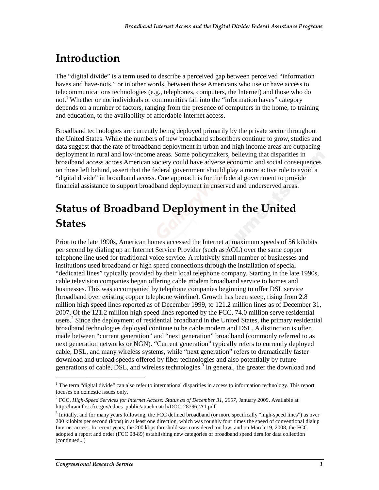## <u>Introduction</u>

The "digital divide" is a term used to describe a perceived gap between perceived "information haves and have-nots," or in other words, between those Americans who use or have access to telecommunications technologies (e.g., telephones, computers, the Internet) and those who do not.<sup>1</sup> Whether or not individuals or communities fall into the "information haves" category depends on a number of factors, ranging from the presence of computers in the home, to training and education, to the availability of affordable Internet access.

Broadband technologies are currently being deployed primarily by the private sector throughout the United States. While the numbers of new broadband subscribers continue to grow, studies and data suggest that the rate of broadband deployment in urban and high income areas are outpacing deployment in rural and low-income areas. Some policymakers, believing that disparities in broadband access across American society could have adverse economic and social consequences on those left behind, assert that the federal government should play a more active role to avoid a "digital divide" in broadband access. One approach is for the federal government to provide financial assistance to support broadband deployment in unserved and underserved areas.

## **Status of Broadband Deployment in the United States**

Prior to the late 1990s, American homes accessed the Internet at maximum speeds of 56 kilobits per second by dialing up an Internet Service Provider (such as AOL) over the same copper telephone line used for traditional voice service. A relatively small number of businesses and institutions used broadband or high speed connections through the installation of special "dedicated lines" typically provided by their local telephone company. Starting in the late 1990s, cable television companies began offering cable modem broadband service to homes and businesses. This was accompanied by telephone companies beginning to offer DSL service (broadband over existing copper telephone wireline). Growth has been steep, rising from 2.8 million high speed lines reported as of December 1999, to 121.2 million lines as of December 31, 2007. Of the 121.2 million high speed lines reported by the FCC, 74.0 million serve residential users.<sup>2</sup> Since the deployment of residential broadband in the United States, the primary residential broadband technologies deployed continue to be cable modem and DSL. A distinction is often made between "current generation" and "next generation" broadband (commonly referred to as next generation networks or NGN). "Current generation" typically refers to currently deployed cable, DSL, and many wireless systems, while "next generation" refers to dramatically faster download and upload speeds offered by fiber technologies and also potentially by future generations of cable, DSL, and wireless technologies.<sup>3</sup> In general, the greater the download and

<sup>&</sup>lt;sup>1</sup> The term "digital divide" can also refer to international disparities in access to information technology. This report focuses on domestic issues only.

<sup>2</sup> FCC, *High-Speed Services for Internet Access: Status as of December 31, 2007,* January 2009. Available at http://hraunfoss.fcc.gov/edocs\_public/attachmatch/DOC-287962A1.pdf.

<sup>&</sup>lt;sup>3</sup> Initially, and for many years following, the FCC defined broadband (or more specifically "high-speed lines") as over 200 kilobits per second (kbps) in at least one direction, which was roughly four times the speed of conventional dialup Internet access. In recent years, the 200 kbps threshold was considered too low, and on March 19, 2008, the FCC adopted a report and order (FCC 08-89) establishing new categories of broadband speed tiers for data collection (continued...)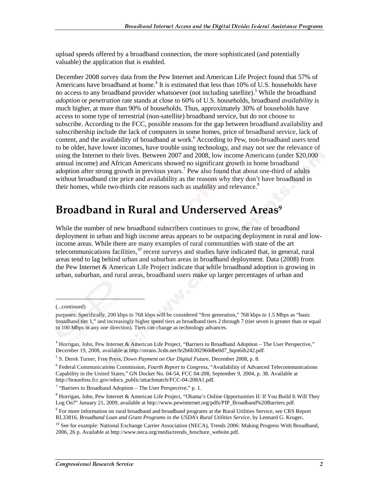upload speeds offered by a broadband connection, the more sophisticated (and potentially valuable) the application that is enabled.

December 2008 survey data from the Pew Internet and American Life Project found that 57% of Americans have broadband at home.<sup>4</sup> It is estimated that less than 10% of U.S. households have no access to any broadband provider whatsoever (not including satellite).<sup>5</sup> While the broadband *adoption* or *penetration* rate stands at close to 60% of U.S. households, broadband *availability* is much higher, at more than 90% of households. Thus, approximately 30% of households have access to some type of terrestrial (non-satellite) broadband service, but do not choose to subscribe. According to the FCC, possible reasons for the gap between broadband availability and subscribership include the lack of computers in some homes, price of broadband service, lack of content, and the availability of broadband at work.<sup>6</sup> According to Pew, non-broadband users tend to be older, have lower incomes, have trouble using technology, and may not see the relevance of using the Internet to their lives. Between 2007 and 2008, low income Americans (under \$20,000 annual income) and African Americans showed no significant growth in home broadband adoption after strong growth in previous years.<sup>7</sup> Pew also found that about one-third of adults without broadband cite price and availability as the reasons why they don't have broadband in their homes, while two-thirds cite reasons such as usability and relevance.<sup>8</sup>

## Broadband in Rural and Underserved Areas<sup>9</sup>

While the number of new broadband subscribers continues to grow, the rate of broadband deployment in urban and high income areas appears to be outpacing deployment in rural and lowincome areas. While there are many examples of rural communities with state of the art telecommunications facilities, $10$  recent surveys and studies have indicated that, in general, rural areas tend to lag behind urban and suburban areas in broadband deployment. Data (2008) from the Pew Internet & American Life Project indicate that while broadband adoption is growing in urban, suburban, and rural areas, broadband users make up larger percentages of urban and

(...continued)

purposes. Specifically, 200 kbps to 768 kbps will be considered "first generation," 768 kbps to 1.5 Mbps as "basic broadband tier 1," and increasingly higher speed tiers as broadband tiers 2 through 7 (tier seven is greater than or equal to 100 Mbps in any one direction). Tiers can change as technology advances.

<sup>&</sup>lt;sup>4</sup> Horrigan, John, Pew Internet & American Life Project, "Barriers to Broadband Adoption - The User Perspective," December 19, 2008, available at http://otrans.3cdn.net/fe2b6b302960dbe0d7\_bqm6ib242.pdf.

<sup>5</sup> S. Derek Turner, Free Press, *Down Payment on Our Digital Future*, December 2008, p. 8.

<sup>6</sup> Federal Communications Commission, *Fourth Report to Congress*, "Availability of Advanced Telecommunications Capability in the United States," GN Docket No. 04-54, FCC 04-208, September 9, 2004, p. 38. Available at http://hraunfoss.fcc.gov/edocs\_public/attachmatch/FCC-04-208A1.pdf.

<sup>&</sup>lt;sup>7</sup> "Barriers to Broadband Adoption – The User Perspective," p. 1.

<sup>&</sup>lt;sup>8</sup> Horrigan, John, Pew Internet & American Life Project, "Obama's Online Opportunities II: If You Build It Will They Log On?" January 21, 2009, available at http://www.pewinternet.org/pdfs/PIP\_Broadband%20Barriers.pdf.

<sup>&</sup>lt;sup>9</sup> For more information on rural broadband and broadband programs at the Rural Utilities Service, see CRS Report RL33816, *Broadband Loan and Grant Programs in the USDA's Rural Utilities Service*, by Lennard G. Kruger**.**

<sup>&</sup>lt;sup>10</sup> See for example: National Exchange Carrier Association (NECA), Trends 2006: Making Progress With Broadband, 2006, 26 p. Available at http://www.neca.org/media/trends\_brochure\_website.pdf.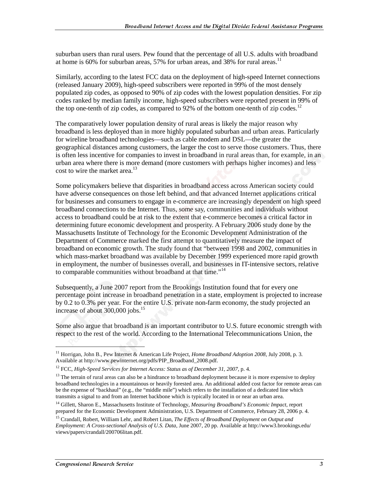suburban users than rural users. Pew found that the percentage of all U.S. adults with broadband at home is 60% for suburban areas, 57% for urban areas, and 38% for rural areas.<sup>11</sup>

Similarly, according to the latest FCC data on the deployment of high-speed Internet connections (released January 2009), high-speed subscribers were reported in 99% of the most densely populated zip codes, as opposed to 90% of zip codes with the lowest population densities. For zip codes ranked by median family income, high-speed subscribers were reported present in 99% of the top one-tenth of zip codes, as compared to 92% of the bottom one-tenth of zip codes.<sup>12</sup>

The comparatively lower population density of rural areas is likely the major reason why broadband is less deployed than in more highly populated suburban and urban areas. Particularly for wireline broadband technologies—such as cable modem and DSL—the greater the geographical distances among customers, the larger the cost to serve those customers. Thus, there is often less incentive for companies to invest in broadband in rural areas than, for example, in an urban area where there is more demand (more customers with perhaps higher incomes) and less cost to wire the market area. $^{13}$ 

Some policymakers believe that disparities in broadband access across American society could have adverse consequences on those left behind, and that advanced Internet applications critical for businesses and consumers to engage in e-commerce are increasingly dependent on high speed broadband connections to the Internet. Thus, some say, communities and individuals without access to broadband could be at risk to the extent that e-commerce becomes a critical factor in determining future economic development and prosperity. A February 2006 study done by the Massachusetts Institute of Technology for the Economic Development Administration of the Department of Commerce marked the first attempt to quantitatively measure the impact of broadband on economic growth. The study found that "between 1998 and 2002, communities in which mass-market broadband was available by December 1999 experienced more rapid growth in employment, the number of businesses overall, and businesses in IT-intensive sectors, relative to comparable communities without broadband at that time."<sup>14</sup>

Subsequently, a June 2007 report from the Brookings Institution found that for every one percentage point increase in broadband penetration in a state, employment is projected to increase by 0.2 to 0.3% per year. For the entire U.S. private non-farm economy, the study projected an increase of about  $300,000$  jobs.<sup>15</sup>

Some also argue that broadband is an important contributor to U.S. future economic strength with respect to the rest of the world. According to the International Telecommunications Union, the

1

<sup>11</sup> Horrigan, John B., Pew Internet & American Life Project, *Home Broadband Adoption 2008,* July 2008, p. 3. Available at http://www.pewinternet.org/pdfs/PIP\_Broadband\_2008.pdf.

<sup>12</sup> FCC, *High-Speed Services for Internet Access: Status as of December 31, 2007,* p. 4.

 $<sup>13</sup>$  The terrain of rural areas can also be a hindrance to broadband deployment because it is more expensive to deploy</sup> broadband technologies in a mountainous or heavily forested area. An additional added cost factor for remote areas can be the expense of "backhaul" (e.g., the "middle mile") which refers to the installation of a dedicated line which transmits a signal to and from an Internet backbone which is typically located in or near an urban area.

<sup>14</sup> Gillett, Sharon E., Massachusetts Institute of Technology, *Measuring Broadband's Economic Impact*, report prepared for the Economic Development Administration, U.S. Department of Commerce, February 28, 2006 p. 4.

<sup>15</sup> Crandall, Robert, William Lehr, and Robert Litan, *The Effects of Broadband Deployment on Output and Employment: A Cross-sectional Analysis of U.S. Data*, June 2007, 20 pp. Available at http://www3.brookings.edu/ views/papers/crandall/200706litan.pdf.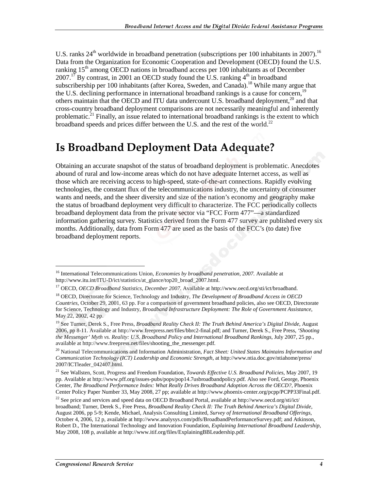U.S. ranks  $24<sup>th</sup>$  worldwide in broadband penetration (subscriptions per 100 inhabitants in 2007).<sup>16</sup> Data from the Organization for Economic Cooperation and Development (OECD) found the U.S. ranking  $15<sup>th</sup>$  among OECD nations in broadband access per 100 inhabitants as of December 2007.<sup>17</sup> By contrast, in 2001 an OECD study found the U.S. ranking  $4<sup>th</sup>$  in broadband subscribership per 100 inhabitants (after Korea, Sweden, and Canada).<sup>18</sup> While many argue that the U.S. declining performance in international broadband rankings is a cause for concern,  $19$ others maintain that the OECD and ITU data undercount U.S. broadband deployment, $^{20}$  and that cross-country broadband deployment comparisons are not necessarily meaningful and inherently problematic.<sup>21</sup> Finally, an issue related to international broadband rankings is the extent to which broadband speeds and prices differ between the U.S. and the rest of the world.<sup>22</sup>

### **Is Broadband Deployment Data Adequate?**

Obtaining an accurate snapshot of the status of broadband deployment is problematic. Anecdotes abound of rural and low-income areas which do not have adequate Internet access, as well as those which are receiving access to high-speed, state-of-the-art connections. Rapidly evolving technologies, the constant flux of the telecommunications industry, the uncertainty of consumer wants and needs, and the sheer diversity and size of the nation's economy and geography make the status of broadband deployment very difficult to characterize. The FCC periodically collects broadband deployment data from the private sector via "FCC Form 477"—a standardized information gathering survey. Statistics derived from the Form 477 survey are published every six months. Additionally, data from Form 477 are used as the basis of the FCC's (to date) five broadband deployment reports.

<sup>&</sup>lt;sup>16</sup> International Telecommunications Union, *Economies by broadband penetration*, 2007. Available at http://www.itu.int/ITU-D/ict/statistics/at\_glance/top20\_broad\_2007.html.

<sup>17</sup> OECD, *OECD Broadband Statistics, December 2007*. Available at http://www.oecd.org/sti/ict/broadband.

<sup>18</sup> OECD, Directorate for Science, Technology and Industry, *The Development of Broadband Access in OECD Countries*, October 29, 2001, 63 pp. For a comparison of government broadband policies, also see OECD, Directorate for Science, Technology and Industry, *Broadband Infrastructure Deployment: The Role of Government Assistance*, May 22, 2002, 42 pp.

<sup>19</sup> See Turner, Derek S., Free Press, *Broadband Reality Check II: The Truth Behind America's Digital Divide*, August 2006, pp 8-11. Available at http://www.freepress.net/files/bbrc2-final.pdf; and Turner, Derek S., Free Press, *'Shooting the Messenger' Myth vs. Reality: U.S. Broadband Policy and International Broadband Rankings*, July 2007, 25 pp., available at http://www.freepress.net/files/shooting\_the\_messenger.pdf.

<sup>20</sup> National Telecommunications and Information Administration, *Fact Sheet: United States Maintains Information and Communication Technology (ICT) Leadership and Economic Strength*, at http://www.ntia.doc.gov/ntiahome/press/ 2007/ICTleader\_042407.html.

<sup>21</sup> See Wallsten, Scott, Progress and Freedom Foundation, *Towards Effective U.S. Broadband Policies*, May 2007, 19 pp. Available at http://www.pff.org/issues-pubs/pops/pop14.7usbroadbandpolicy.pdf. Also see Ford, George, Phoenix Center, *The Broadband Performance Index: What Really Drives Broadband Adoption Across the OECD?*, Phoenix Center Policy Paper Number 33, May 2008, 27 pp; available at http://www.phoenix-center.org/pcpp/PCPP33Final.pdf.

<sup>&</sup>lt;sup>22</sup> See price and services and speed data on OECD Broadband Portal, available at http://www.oecd.org/sti/ict/ broadband; Turner, Derek S., Free Press, *Broadband Reality Check II: The Truth Behind America's Digital Divide*, August 2006, pp 5-9; Kende, Michael, Analysis Consulting Limited, *Survey of International Broadband Offerings*, October 4, 2006, 12 p, available at http://www.analysys.com/pdfs/BroadbandPerformanceSurvey.pdf; and Atkinson, Robert D., The International Technology and Innovation Foundation, *Explaining International Broadband Leadership*, May 2008, 108 p, available at http://www.itif.org/files/ExplainingBBLeadership.pdf.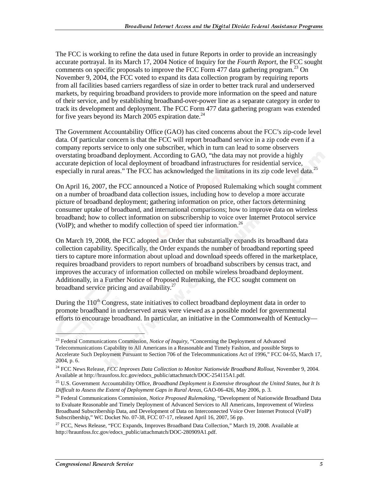The FCC is working to refine the data used in future Reports in order to provide an increasingly accurate portrayal. In its March 17, 2004 Notice of Inquiry for the *Fourth Report*, the FCC sought comments on specific proposals to improve the FCC Form 477 data gathering program.<sup>23</sup> On November 9, 2004, the FCC voted to expand its data collection program by requiring reports from all facilities based carriers regardless of size in order to better track rural and underserved markets, by requiring broadband providers to provide more information on the speed and nature of their service, and by establishing broadband-over-power line as a separate category in order to track its development and deployment. The FCC Form 477 data gathering program was extended for five years beyond its March 2005 expiration date.<sup>24</sup>

The Government Accountability Office (GAO) has cited concerns about the FCC's zip-code level data. Of particular concern is that the FCC will report broadband service in a zip code even if a company reports service to only one subscriber, which in turn can lead to some observers overstating broadband deployment. According to GAO, "the data may not provide a highly accurate depiction of local deployment of broadband infrastructures for residential service, especially in rural areas." The FCC has acknowledged the limitations in its zip code level data.<sup>25</sup>

On April 16, 2007, the FCC announced a Notice of Proposed Rulemaking which sought comment on a number of broadband data collection issues, including how to develop a more accurate picture of broadband deployment; gathering information on price, other factors determining consumer uptake of broadband, and international comparisons; how to improve data on wireless broadband; how to collect information on subscribership to voice over Internet Protocol service (VoIP); and whether to modify collection of speed tier information.<sup>26</sup>

On March 19, 2008, the FCC adopted an Order that substantially expands its broadband data collection capability. Specifically, the Order expands the number of broadband reporting speed tiers to capture more information about upload and download speeds offered in the marketplace, requires broadband providers to report numbers of broadband subscribers by census tract, and improves the accuracy of information collected on mobile wireless broadband deployment. Additionally, in a Further Notice of Proposed Rulemaking, the FCC sought comment on broadband service pricing and availability.<sup>27</sup>

During the  $110<sup>th</sup>$  Congress, state initiatives to collect broadband deployment data in order to promote broadband in underserved areas were viewed as a possible model for governmental efforts to encourage broadband. In particular, an initiative in the Commonwealth of Kentucky—

ļ

<sup>&</sup>lt;sup>23</sup> Federal Communications Commission, *Notice of Inquiry*, "Concerning the Deployment of Advanced Telecommunications Capability to All Americans in a Reasonable and Timely Fashion, and possible Steps to Accelerate Such Deployment Pursuant to Section 706 of the Telecommunications Act of 1996," FCC 04-55, March 17, 2004, p. 6.

<sup>&</sup>lt;sup>24</sup> FCC News Release, *FCC Improves Data Collection to Monitor Nationwide Broadband Rollout*, November 9, 2004. Available at http://hraunfoss.fcc.gov/edocs\_public/attachmatch/DOC-254115A1.pdf.

<sup>&</sup>lt;sup>25</sup> U.S. Government Accountability Office, *Broadband Deployment is Extensive throughout the United States, but It Is Difficult to Assess the Extent of Deployment Gaps in Rural Areas*, GAO-06-426, May 2006, p. 3.

<sup>26</sup> Federal Communications Commission, *Notice Proposed Rulemaking*, "Development of Nationwide Broadband Data to Evaluate Reasonable and Timely Deployment of Advanced Services to All Americans, Improvement of Wireless Broadband Subscribership Data, and Development of Data on Interconnected Voice Over Internet Protocol (VoIP) Subscribership," WC Docket No. 07-38, FCC 07-17, released April 16, 2007, 56 pp.

<sup>&</sup>lt;sup>27</sup> FCC, News Release, "FCC Expands, Improves Broadband Data Collection," March 19, 2008. Available at http://hraunfoss.fcc.gov/edocs\_public/attachmatch/DOC-280909A1.pdf.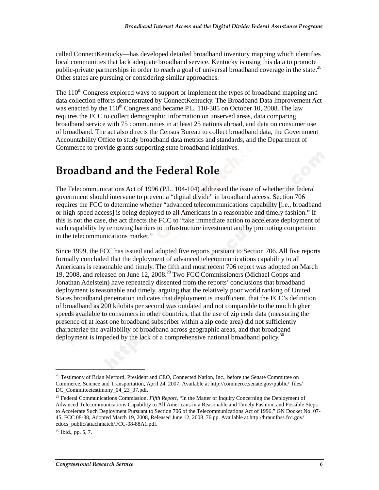called ConnectKentucky—has developed detailed broadband inventory mapping which identifies local communities that lack adequate broadband service. Kentucky is using this data to promote public-private partnerships in order to reach a goal of universal broadband coverage in the state.<sup>28</sup> Other states are pursuing or considering similar approaches.

The 110<sup>th</sup> Congress explored ways to support or implement the types of broadband mapping and data collection efforts demonstrated by ConnectKentucky. The Broadband Data Improvement Act was enacted by the  $110^{th}$  Congress and became P.L. 110-385 on October 10, 2008. The law requires the FCC to collect demographic information on unserved areas, data comparing broadband service with 75 communities in at least 25 nations abroad, and data on consumer use of broadband. The act also directs the Census Bureau to collect broadband data, the Government Accountability Office to study broadband data metrics and standards, and the Department of Commerce to provide grants supporting state broadband initiatives.

## Broadband and the Federal Role

The Telecommunications Act of 1996 (P.L. 104-104) addressed the issue of whether the federal government should intervene to prevent a "digital divide" in broadband access. Section 706 requires the FCC to determine whether "advanced telecommunications capability [i.e., broadband or high-speed access] is being deployed to all Americans in a reasonable and timely fashion." If this is not the case, the act directs the FCC to "take immediate action to accelerate deployment of such capability by removing barriers to infrastructure investment and by promoting competition in the telecommunications market."

Since 1999, the FCC has issued and adopted five reports pursuant to Section 706. All five reports formally concluded that the deployment of advanced telecommunications capability to all Americans is reasonable and timely. The fifth and most recent 706 report was adopted on March 19, 2008, and released on June 12, 2008.29 Two FCC Commissioners (Michael Copps and Jonathan Adelstein) have repeatedly dissented from the reports' conclusions that broadband deployment is reasonable and timely, arguing that the relatively poor world ranking of United States broadband penetration indicates that deployment is insufficient, that the FCC's definition of broadband as 200 kilobits per second was outdated and not comparable to the much higher speeds available to consumers in other countries, that the use of zip code data (measuring the presence of at least one broadband subscriber within a zip code area) did not sufficiently characterize the availability of broadband across geographic areas, and that broadband deployment is impeded by the lack of a comprehensive national broadband policy.<sup>30</sup>

 $\overline{a}$ 

<sup>&</sup>lt;sup>28</sup> Testimony of Brian Mefford, President and CEO, Connected Nation, Inc., before the Senate Committee on Commerce, Science and Transportation, April 24, 2007. Available at http://commerce.senate.gov/public/\_files/ DC\_Committeetestimony\_04\_23\_07.pdf.

<sup>29</sup> Federal Communications Commission, *Fifth Report*, "In the Matter of Inquiry Concerning the Deployment of Advanced Telecommunications Capability to All Americans in a Reasonable and Timely Fashion, and Possible Steps to Accelerate Such Deployment Pursuant to Section 706 of the Telecommunications Act of 1996," GN Docket No. 07- 45, FCC 08-88, Adopted March 19, 2008, Released June 12, 2008. 76 pp. Available at http://hraunfoss.fcc.gov/ edocs\_public/attachmatch/FCC-08-88A1.pdf.

 $30$  Ibid., pp. 5, 7.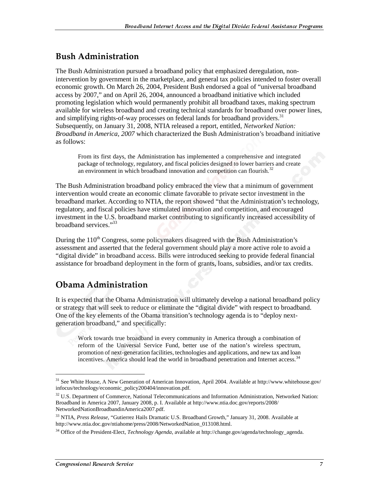### **Bush Administration**

The Bush Administration pursued a broadband policy that emphasized deregulation, nonintervention by government in the marketplace, and general tax policies intended to foster overall economic growth. On March 26, 2004, President Bush endorsed a goal of "universal broadband access by 2007," and on April 26, 2004, announced a broadband initiative which included promoting legislation which would permanently prohibit all broadband taxes, making spectrum available for wireless broadband and creating technical standards for broadband over power lines, and simplifying rights-of-way processes on federal lands for broadband providers.<sup>31</sup> Subsequently, on January 31, 2008, NTIA released a report, entitled, *Networked Nation: Broadband in America, 2007* which characterized the Bush Administration's broadband initiative as follows:

From its first days, the Administration has implemented a comprehensive and integrated package of technology, regulatory, and fiscal policies designed to lower barriers and create an environment in which broadband innovation and competition can flourish.<sup>32</sup>

The Bush Administration broadband policy embraced the view that a minimum of government intervention would create an economic climate favorable to private sector investment in the broadband market. According to NTIA, the report showed "that the Administration's technology, regulatory, and fiscal policies have stimulated innovation and competition, and encouraged investment in the U.S. broadband market contributing to significantly increased accessibility of broadband services."33

During the  $110<sup>th</sup>$  Congress, some policymakers disagreed with the Bush Administration's assessment and asserted that the federal government should play a more active role to avoid a "digital divide" in broadband access. Bills were introduced seeking to provide federal financial assistance for broadband deployment in the form of grants, loans, subsidies, and/or tax credits.

### **Obama Administration**

It is expected that the Obama Administration will ultimately develop a national broadband policy or strategy that will seek to reduce or eliminate the "digital divide" with respect to broadband. One of the key elements of the Obama transition's technology agenda is to "deploy nextgeneration broadband," and specifically:

Work towards true broadband in every community in America through a combination of reform of the Universal Service Fund, better use of the nation's wireless spectrum, promotion of next-generation facilities, technologies and applications, and new tax and loan incentives. America should lead the world in broadband penetration and Internet access.<sup>3</sup>

<sup>&</sup>lt;sup>31</sup> See White House, A New Generation of American Innovation, April 2004. Available at http://www.whitehouse.gov/ infocus/technology/economic\_policy200404/innovation.pdf.

<sup>&</sup>lt;sup>32</sup> U.S. Department of Commerce, National Telecommunications and Information Administration, Networked Nation: Broadband in America 2007, January 2008, p. I. Available at http://www.ntia.doc.gov/reports/2008/ NetworkedNationBroadbandinAmerica2007.pdf.

<sup>33</sup> NTIA, *Press Release*, "Gutierrez Hails Dramatic U.S. Broadband Growth," January 31, 2008. Available at http://www.ntia.doc.gov/ntiahome/press/2008/NetworkedNation\_013108.html.

<sup>34</sup> Office of the President-Elect, *Technology Agenda*, available at http://change.gov/agenda/technology\_agenda.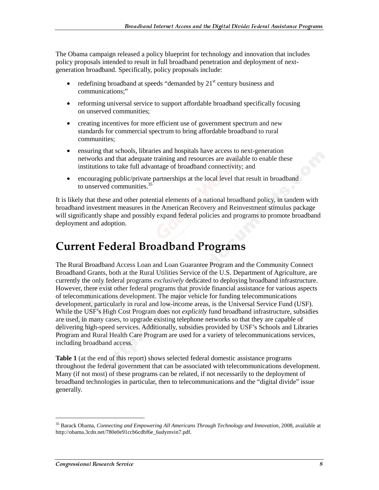The Obama campaign released a policy blueprint for technology and innovation that includes policy proposals intended to result in full broadband penetration and deployment of nextgeneration broadband. Specifically, policy proposals include:

- redefining broadband at speeds "demanded by  $21<sup>st</sup>$  century business and communications;"
- reforming universal service to support affordable broadband specifically focusing on unserved communities;
- creating incentives for more efficient use of government spectrum and new standards for commercial spectrum to bring affordable broadband to rural communities;
- ensuring that schools, libraries and hospitals have access to next-generation networks and that adequate training and resources are available to enable these institutions to take full advantage of broadband connectivity; and
- encouraging public/private partnerships at the local level that result in broadband to unserved communities. $3$

It is likely that these and other potential elements of a national broadband policy, in tandem with broadband investment measures in the American Recovery and Reinvestment stimulus package will significantly shape and possibly expand federal policies and programs to promote broadband deployment and adoption.

## **Current Federal Broadband Programs**

The Rural Broadband Access Loan and Loan Guarantee Program and the Community Connect Broadband Grants, both at the Rural Utilities Service of the U.S. Department of Agriculture, are currently the only federal programs *exclusively* dedicated to deploying broadband infrastructure. However, there exist other federal programs that provide financial assistance for various aspects of telecommunications development. The major vehicle for funding telecommunications development, particularly in rural and low-income areas, is the Universal Service Fund (USF). While the USF's High Cost Program does not *explicitly* fund broadband infrastructure, subsidies are used, in many cases, to upgrade existing telephone networks so that they are capable of delivering high-speed services. Additionally, subsidies provided by USF's Schools and Libraries Program and Rural Health Care Program are used for a variety of telecommunications services, including broadband access.

**Table 1** (at the end of this report) shows selected federal domestic assistance programs throughout the federal government that can be associated with telecommunications development. Many (if not most) of these programs can be related, if not necessarily to the deployment of broadband technologies in particular, then to telecommunications and the "digital divide" issue generally.

<sup>35</sup> Barack Obama, *Connecting and Empowering All Americans Through Technology and Innovation*, 2008, available at http://obama.3cdn.net/780e0e91ccb6cdbf6e\_6udymvin7.pdf.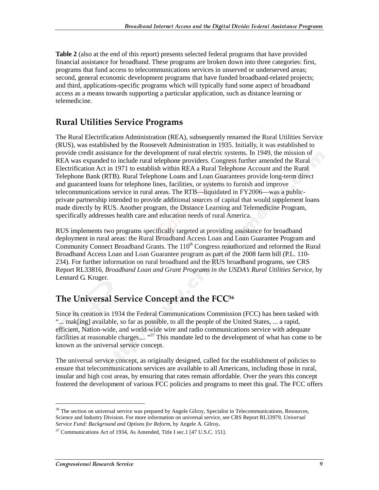**Table 2** (also at the end of this report) presents selected federal programs that have provided financial assistance for broadband. These programs are broken down into three categories: first, programs that fund access to telecommunications services in unserved or underserved areas; second, general economic development programs that have funded broadband-related projects; and third, applications-specific programs which will typically fund some aspect of broadband access as a means towards supporting a particular application, such as distance learning or telemedicine.

### **Rural Utilities Service Programs**

The Rural Electrification Administration (REA), subsequently renamed the Rural Utilities Service (RUS), was established by the Roosevelt Administration in 1935. Initially, it was established to provide credit assistance for the development of rural electric systems. In 1949, the mission of REA was expanded to include rural telephone providers. Congress further amended the Rural Electrification Act in 1971 to establish within REA a Rural Telephone Account and the Rural Telephone Bank (RTB). Rural Telephone Loans and Loan Guarantees provide long-term direct and guaranteed loans for telephone lines, facilities, or systems to furnish and improve telecommunications service in rural areas. The RTB—liquidated in FY2006—was a publicprivate partnership intended to provide additional sources of capital that would supplement loans made directly by RUS. Another program, the Distance Learning and Telemedicine Program, specifically addresses health care and education needs of rural America.

RUS implements two programs specifically targeted at providing assistance for broadband deployment in rural areas: the Rural Broadband Access Loan and Loan Guarantee Program and Community Connect Broadband Grants. The  $110<sup>th</sup>$  Congress reauthorized and reformed the Rural Broadband Access Loan and Loan Guarantee program as part of the 2008 farm bill (P.L. 110- 234). For further information on rural broadband and the RUS broadband programs, see CRS Report RL33816, *Broadband Loan and Grant Programs in the USDA's Rural Utilities Service*, by Lennard G. Kruger.

### The Universal Service Concept and the FCC $^{\rm 36}$

Since its creation in 1934 the Federal Communications Commission (FCC) has been tasked with "... mak[ing] available, so far as possible, to all the people of the United States, ... a rapid, efficient, Nation-wide, and world-wide wire and radio communications service with adequate facilities at reasonable charges.... "<sup>37</sup> This mandate led to the development of what has come to be known as the universal service concept.

The universal service concept, as originally designed, called for the establishment of policies to ensure that telecommunications services are available to all Americans, including those in rural, insular and high cost areas, by ensuring that rates remain affordable. Over the years this concept fostered the development of various FCC policies and programs to meet this goal. The FCC offers

<sup>&</sup>lt;sup>36</sup> The section on universal service was prepared by Angele Gilroy, Specialist in Telecommunications, Resources, Science and Industry Division. For more information on universal service, see CRS Report RL33979, *Universal Service Fund: Background and Options for Reform*, by Angele A. Gilroy**.**

 $37$  Communications Act of 1934, As Amended, Title I sec.1 [47 U.S.C. 151].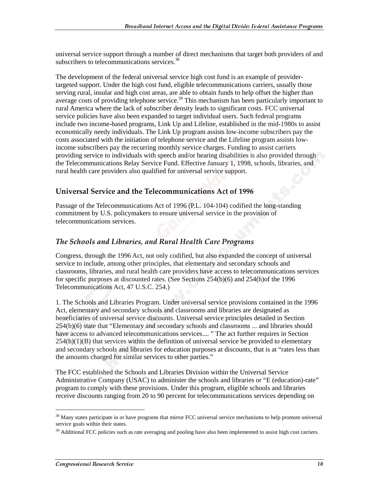universal service support through a number of direct mechanisms that target both providers of and subscribers to telecommunications services.<sup>38</sup>

The development of the federal universal service high cost fund is an example of providertargeted support. Under the high cost fund, eligible telecommunications carriers, usually those serving rural, insular and high cost areas, are able to obtain funds to help offset the higher than average costs of providing telephone service.<sup>39</sup> This mechanism has been particularly important to rural America where the lack of subscriber density leads to significant costs. FCC universal service policies have also been expanded to target individual users. Such federal programs include two income-based programs, Link Up and Lifeline, established in the mid-1980s to assist economically needy individuals. The Link Up program assists low-income subscribers pay the costs associated with the initiation of telephone service and the Lifeline program assists lowincome subscribers pay the recurring monthly service charges. Funding to assist carriers providing service to individuals with speech and/or hearing disabilities is also provided through the Telecommunications Relay Service Fund. Effective January 1, 1998, schools, libraries, and rural health care providers also qualified for universal service support.

#### Universal Service and the Telecommunications Act of 1996

Passage of the Telecommunications Act of 1996 (P.L. 104-104) codified the long-standing commitment by U.S. policymakers to ensure universal service in the provision of telecommunications services.

#### The Schools and Libraries, and Rural Health Care Programs

Congress, through the 1996 Act, not only codified, but also expanded the concept of universal service to include, among other principles, that elementary and secondary schools and classrooms, libraries, and rural health care providers have access to telecommunications services for specific purposes at discounted rates. (See Sections 254(b)(6) and 254(h)of the 1996 Telecommunications Act, 47 U.S.C. 254.)

1. The Schools and Libraries Program. Under universal service provisions contained in the 1996 Act, elementary and secondary schools and classrooms and libraries are designated as beneficiaries of universal service discounts. Universal service principles detailed in Section 254(b)(6) state that "Elementary and secondary schools and classrooms ... and libraries should have access to advanced telecommunications services.... " The act further requires in Section  $254(h)(1)(B)$  that services within the definition of universal service be provided to elementary and secondary schools and libraries for education purposes at discounts, that is at "rates less than the amounts charged for similar services to other parties."

The FCC established the Schools and Libraries Division within the Universal Service Administrative Company (USAC) to administer the schools and libraries or "E (education)-rate" program to comply with these provisions. Under this program, eligible schools and libraries receive discounts ranging from 20 to 90 percent for telecommunications services depending on

<sup>&</sup>lt;sup>38</sup> Many states participate in or have programs that mirror FCC universal service mechanisms to help promote universal service goals within their states.

<sup>&</sup>lt;sup>39</sup> Additional FCC policies such as rate averaging and pooling have also been implemented to assist high cost carriers.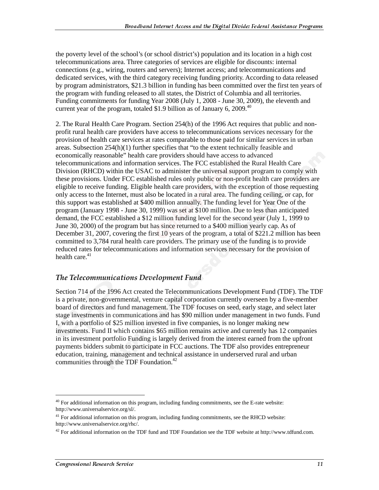the poverty level of the school's (or school district's) population and its location in a high cost telecommunications area. Three categories of services are eligible for discounts: internal connections (e.g., wiring, routers and servers); Internet access; and telecommunications and dedicated services, with the third category receiving funding priority. According to data released by program administrators, \$21.3 billion in funding has been committed over the first ten years of the program with funding released to all states, the District of Columbia and all territories. Funding commitments for funding Year 2008 (July 1, 2008 - June 30, 2009), the eleventh and current year of the program, totaled \$1.9 billion as of January 6, 2009.<sup>40</sup>

2. The Rural Health Care Program. Section 254(h) of the 1996 Act requires that public and nonprofit rural health care providers have access to telecommunications services necessary for the provision of health care services at rates comparable to those paid for similar services in urban areas. Subsection 254(h)(1) further specifies that "to the extent technically feasible and economically reasonable" health care providers should have access to advanced telecommunications and information services. The FCC established the Rural Health Care Division (RHCD) within the USAC to administer the universal support program to comply with these provisions. Under FCC established rules only public or non-profit health care providers are eligible to receive funding. Eligible health care providers, with the exception of those requesting only access to the Internet, must also be located in a rural area. The funding ceiling, or cap, for this support was established at \$400 million annually. The funding level for Year One of the program (January 1998 - June 30, 1999) was set at \$100 million. Due to less than anticipated demand, the FCC established a \$12 million funding level for the second year (July 1, 1999 to June 30, 2000) of the program but has since returned to a \$400 million yearly cap. As of December 31, 2007, covering the first 10 years of the program, a total of \$221.2 million has been committed to 3,784 rural health care providers. The primary use of the funding is to provide reduced rates for telecommunications and information services necessary for the provision of health care. $41$ 

#### The Telecommunications Development Fund

Section 714 of the 1996 Act created the Telecommunications Development Fund (TDF). The TDF is a private, non-governmental, venture capital corporation currently overseen by a five-member board of directors and fund management. The TDF focuses on seed, early stage, and select later stage investments in communications and has \$90 million under management in two funds. Fund I, with a portfolio of \$25 million invested in five companies, is no longer making new investments. Fund II which contains \$65 million remains active and currently has 12 companies in its investment portfolio Funding is largely derived from the interest earned from the upfront payments bidders submit to participate in FCC auctions. The TDF also provides entrepreneur education, training, management and technical assistance in underserved rural and urban communities through the TDF Foundation.<sup>42</sup>

 $40$  For additional information on this program, including funding commitments, see the E-rate website: http://www.universalservice.org/sl/.

<sup>&</sup>lt;sup>41</sup> For additional information on this program, including funding commitments, see the RHCD website: http://www.universalservice.org/rhc/.

<sup>&</sup>lt;sup>42</sup> For additional information on the TDF fund and TDF Foundation see the TDF website at http://www.tdfund.com.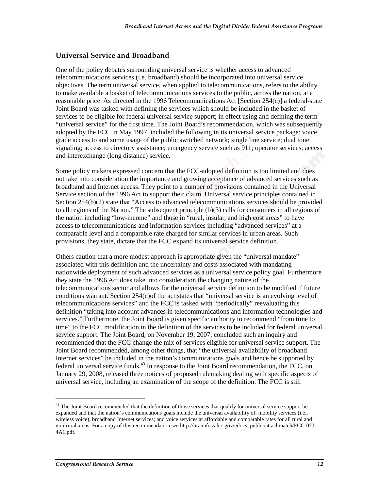#### **Universal Service and Broadband**

One of the policy debates surrounding universal service is whether access to advanced telecommunications services (i.e. broadband) should be incorporated into universal service objectives. The term universal service, when applied to telecommunications, refers to the ability to make available a basket of telecommunications services to the public, across the nation, at a reasonable price. As directed in the 1996 Telecommunications Act [Section 254(c)] a federal-state Joint Board was tasked with defining the services which should be included in the basket of services to be eligible for federal universal service support; in effect using and defining the term "universal service" for the first time. The Joint Board's recommendation, which was subsequently adopted by the FCC in May 1997, included the following in its universal service package: voice grade access to and some usage of the public switched network; single line service; dual tone signaling; access to directory assistance; emergency service such as 911; operator services; access and interexchange (long distance) service.

Some policy makers expressed concern that the FCC-adopted definition is too limited and does not take into consideration the importance and growing acceptance of advanced services such as broadband and Internet access. They point to a number of provisions contained in the Universal Service section of the 1996 Act to support their claim. Universal service principles contained in Section 254(b)(2) state that "Access to advanced telecommunications services should be provided to all regions of the Nation." The subsequent principle  $(b)(3)$  calls for consumers in all regions of the nation including "low-income" and those in "rural, insular, and high cost areas" to have access to telecommunications and information services including "advanced services" at a comparable level and a comparable rate charged for similar services in urban areas. Such provisions, they state, dictate that the FCC expand its universal service definition.

Others caution that a more modest approach is appropriate given the "universal mandate" associated with this definition and the uncertainty and costs associated with mandating nationwide deployment of such advanced services as a universal service policy goal. Furthermore they state the 1996 Act does take into consideration the changing nature of the telecommunications sector and allows for the universal service definition to be modified if future conditions warrant. Section 254(c)of the act states that "universal service is an evolving level of telecommunications services" and the FCC is tasked with "periodically" reevaluating this definition "taking into account advances in telecommunications and information technologies and services." Furthermore, the Joint Board is given specific authority to recommend "from time to time" to the FCC modification in the definition of the services to be included for federal universal service support. The Joint Board, on November 19, 2007, concluded such an inquiry and recommended that the FCC change the mix of services eligible for universal service support. The Joint Board recommended, among other things, that "the universal availability of broadband Internet services" be included in the nation's communications goals and hence be supported by federal universal service funds.<sup>43</sup> In response to the Joint Board recommendation, the FCC, on January 29, 2008, released three notices of proposed rulemaking dealing with specific aspects of universal service, including an examination of the scope of the definition. The FCC is still

<sup>&</sup>lt;sup>43</sup> The Joint Board recommended that the definition of those services that qualify for universal service support be expanded and that the nation's communications goals include the universal availability of: mobility services (i.e., wireless voice); broadband Internet services; and voice services at affordable and comparable rates for all rural and non-rural areas. For a copy of this recommendation see http://hraunfoss.fcc.gov/edocs\_public/attachmatch/FCC-07J-4A1.pdf.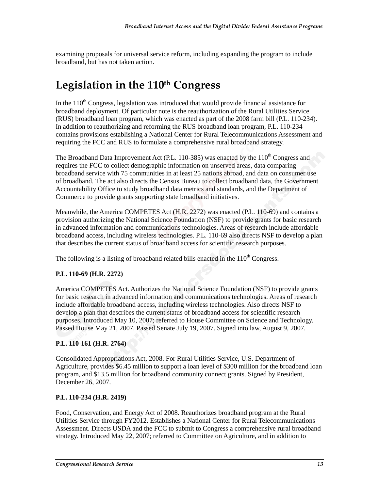examining proposals for universal service reform, including expanding the program to include broadband, but has not taken action.

## Legislation in the 110th Congress

In the  $110<sup>th</sup>$  Congress, legislation was introduced that would provide financial assistance for broadband deployment. Of particular note is the reauthorization of the Rural Utilities Service (RUS) broadband loan program, which was enacted as part of the 2008 farm bill (P.L. 110-234). In addition to reauthorizing and reforming the RUS broadband loan program, P.L. 110-234 contains provisions establishing a National Center for Rural Telecommunications Assessment and requiring the FCC and RUS to formulate a comprehensive rural broadband strategy.

The Broadband Data Improvement Act (P.L. 110-385) was enacted by the  $110<sup>th</sup>$  Congress and requires the FCC to collect demographic information on unserved areas, data comparing broadband service with 75 communities in at least 25 nations abroad, and data on consumer use of broadband. The act also directs the Census Bureau to collect broadband data, the Government Accountability Office to study broadband data metrics and standards, and the Department of Commerce to provide grants supporting state broadband initiatives.

Meanwhile, the America COMPETES Act (H.R. 2272) was enacted (P.L. 110-69) and contains a provision authorizing the National Science Foundation (NSF) to provide grants for basic research in advanced information and communications technologies. Areas of research include affordable broadband access, including wireless technologies. P.L. 110-69 also directs NSF to develop a plan that describes the current status of broadband access for scientific research purposes.

The following is a listing of broadband related bills enacted in the  $110<sup>th</sup>$  Congress.

#### **P.L. 110-69 (H.R. 2272)**

America COMPETES Act. Authorizes the National Science Foundation (NSF) to provide grants for basic research in advanced information and communications technologies. Areas of research include affordable broadband access, including wireless technologies. Also directs NSF to develop a plan that describes the current status of broadband access for scientific research purposes. Introduced May 10, 2007; referred to House Committee on Science and Technology. Passed House May 21, 2007. Passed Senate July 19, 2007. Signed into law, August 9, 2007.

#### **P.L. 110-161 (H.R. 2764)**

Consolidated Appropriations Act, 2008. For Rural Utilities Service, U.S. Department of Agriculture, provides \$6.45 million to support a loan level of \$300 million for the broadband loan program, and \$13.5 million for broadband community connect grants. Signed by President, December 26, 2007.

#### **P.L. 110-234 (H.R. 2419)**

Food, Conservation, and Energy Act of 2008. Reauthorizes broadband program at the Rural Utilities Service through FY2012. Establishes a National Center for Rural Telecommunications Assessment. Directs USDA and the FCC to submit to Congress a comprehensive rural broadband strategy. Introduced May 22, 2007; referred to Committee on Agriculture, and in addition to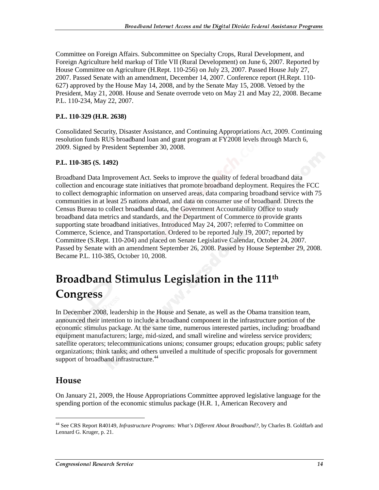Committee on Foreign Affairs. Subcommittee on Specialty Crops, Rural Development, and Foreign Agriculture held markup of Title VII (Rural Development) on June 6, 2007. Reported by House Committee on Agriculture (H.Rept. 110-256) on July 23, 2007. Passed House July 27, 2007. Passed Senate with an amendment, December 14, 2007. Conference report (H.Rept. 110- 627) approved by the House May 14, 2008, and by the Senate May 15, 2008. Vetoed by the President, May 21, 2008. House and Senate overrode veto on May 21 and May 22, 2008. Became P.L. 110-234, May 22, 2007.

#### **P.L. 110-329 (H.R. 2638)**

Consolidated Security, Disaster Assistance, and Continuing Appropriations Act, 2009. Continuing resolution funds RUS broadband loan and grant program at FY2008 levels through March 6, 2009. Signed by President September 30, 2008.

#### **P.L. 110-385 (S. 1492)**

Broadband Data Improvement Act. Seeks to improve the quality of federal broadband data collection and encourage state initiatives that promote broadband deployment. Requires the FCC to collect demographic information on unserved areas, data comparing broadband service with 75 communities in at least 25 nations abroad, and data on consumer use of broadband. Directs the Census Bureau to collect broadband data, the Government Accountability Office to study broadband data metrics and standards, and the Department of Commerce to provide grants supporting state broadband initiatives. Introduced May 24, 2007; referred to Committee on Commerce, Science, and Transportation. Ordered to be reported July 19, 2007; reported by Committee (S.Rept. 110-204) and placed on Senate Legislative Calendar, October 24, 2007. Passed by Senate with an amendment September 26, 2008. Passed by House September 29, 2008. Became P.L. 110-385, October 10, 2008.

## Broadband Stimulus Legislation in the  $111^{\rm th}$ **Congress**

In December 2008, leadership in the House and Senate, as well as the Obama transition team, announced their intention to include a broadband component in the infrastructure portion of the economic stimulus package. At the same time, numerous interested parties, including: broadband equipment manufacturers; large, mid-sized, and small wireline and wireless service providers; satellite operators; telecommunications unions; consumer groups; education groups; public safety organizations; think tanks; and others unveiled a multitude of specific proposals for government support of broadband infrastructure.<sup>44</sup>

#### **House**

j

On January 21, 2009, the House Appropriations Committee approved legislative language for the spending portion of the economic stimulus package (H.R. 1, American Recovery and

<sup>44</sup> See CRS Report R40149, *Infrastructure Programs: What's Different About Broadband?*, by Charles B. Goldfarb and Lennard G. Kruger, p. 21.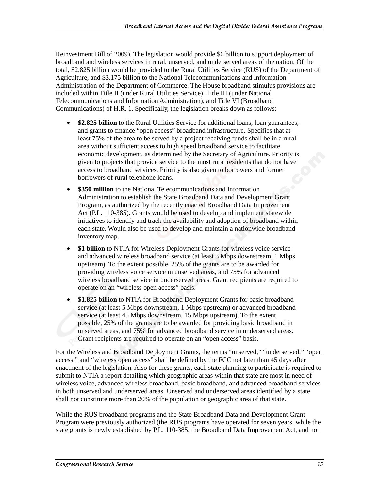Reinvestment Bill of 2009). The legislation would provide \$6 billion to support deployment of broadband and wireless services in rural, unserved, and underserved areas of the nation. Of the total, \$2.825 billion would be provided to the Rural Utilities Service (RUS) of the Department of Agriculture, and \$3.175 billion to the National Telecommunications and Information Administration of the Department of Commerce. The House broadband stimulus provisions are included within Title II (under Rural Utilities Service), Title III (under National Telecommunications and Information Administration), and Title VI (Broadband Communications) of H.R. 1. Specifically, the legislation breaks down as follows:

- **\$2.825 billion** to the Rural Utilities Service for additional loans, loan guarantees, and grants to finance "open access" broadband infrastructure. Specifies that at least 75% of the area to be served by a project receiving funds shall be in a rural area without sufficient access to high speed broadband service to facilitate economic development, as determined by the Secretary of Agriculture. Priority is given to projects that provide service to the most rural residents that do not have access to broadband services. Priority is also given to borrowers and former borrowers of rural telephone loans.
- **\$350 million** to the National Telecommunications and Information Administration to establish the State Broadband Data and Development Grant Program, as authorized by the recently enacted Broadband Data Improvement Act (P.L. 110-385). Grants would be used to develop and implement statewide initiatives to identify and track the availability and adoption of broadband within each state. Would also be used to develop and maintain a nationwide broadband inventory map.
- \$1 billion to NTIA for Wireless Deployment Grants for wireless voice service and advanced wireless broadband service (at least 3 Mbps downstream, 1 Mbps upstream). To the extent possible, 25% of the grants are to be awarded for providing wireless voice service in unserved areas, and 75% for advanced wireless broadband service in underserved areas. Grant recipients are required to operate on an "wireless open access" basis.
- **\$1.825 billion** to NTIA for Broadband Deployment Grants for basic broadband service (at least 5 Mbps downstream, 1 Mbps upstream) or advanced broadband service (at least 45 Mbps downstream, 15 Mbps upstream). To the extent possible, 25% of the grants are to be awarded for providing basic broadband in unserved areas, and 75% for advanced broadband service in underserved areas. Grant recipients are required to operate on an "open access" basis.

For the Wireless and Broadband Deployment Grants, the terms "unserved," "underserved," "open access," and "wireless open access" shall be defined by the FCC not later than 45 days after enactment of the legislation. Also for these grants, each state planning to participate is required to submit to NTIA a report detailing which geographic areas within that state are most in need of wireless voice, advanced wireless broadband, basic broadband, and advanced broadband services in both unserved and underserved areas. Unserved and underserved areas identified by a state shall not constitute more than 20% of the population or geographic area of that state.

While the RUS broadband programs and the State Broadband Data and Development Grant Program were previously authorized (the RUS programs have operated for seven years, while the state grants is newly established by P.L. 110-385, the Broadband Data Improvement Act, and not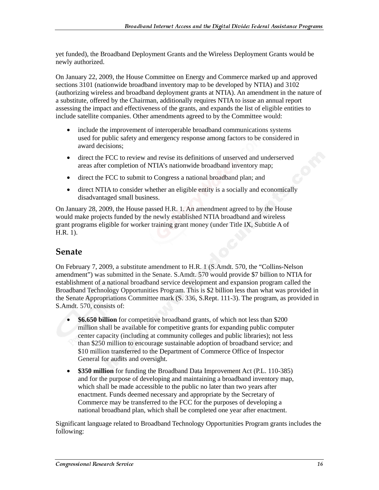yet funded), the Broadband Deployment Grants and the Wireless Deployment Grants would be newly authorized.

On January 22, 2009, the House Committee on Energy and Commerce marked up and approved sections 3101 (nationwide broadband inventory map to be developed by NTIA) and 3102 (authorizing wireless and broadband deployment grants at NTIA). An amendment in the nature of a substitute, offered by the Chairman, additionally requires NTIA to issue an annual report assessing the impact and effectiveness of the grants, and expands the list of eligible entities to include satellite companies. Other amendments agreed to by the Committee would:

- include the improvement of interoperable broadband communications systems used for public safety and emergency response among factors to be considered in award decisions;
- direct the FCC to review and revise its definitions of unserved and underserved areas after completion of NTIA's nationwide broadband inventory map;
- direct the FCC to submit to Congress a national broadband plan; and
- direct NTIA to consider whether an eligible entity is a socially and economically disadvantaged small business.

On January 28, 2009, the House passed H.R. 1. An amendment agreed to by the House would make projects funded by the newly established NTIA broadband and wireless grant programs eligible for worker training grant money (under Title IX, Subtitle A of H.R. 1).

#### **Senate**

On February 7, 2009, a substitute amendment to H.R. 1 (S.Amdt. 570, the "Collins-Nelson amendment") was submitted in the Senate. S.Amdt. 570 would provide \$7 billion to NTIA for establishment of a national broadband service development and expansion program called the Broadband Technology Opportunities Program. This is \$2 billion less than what was provided in the Senate Appropriations Committee mark (S. 336, S.Rept. 111-3). The program, as provided in S.Amdt. 570, consists of:

- **\$6.650 billion** for competitive broadband grants, of which not less than \$200 million shall be available for competitive grants for expanding public computer center capacity (including at community colleges and public libraries); not less than \$250 million to encourage sustainable adoption of broadband service; and \$10 million transferred to the Department of Commerce Office of Inspector General for audits and oversight.
- **\$350 million** for funding the Broadband Data Improvement Act (P.L. 110-385) and for the purpose of developing and maintaining a broadband inventory map, which shall be made accessible to the public no later than two years after enactment. Funds deemed necessary and appropriate by the Secretary of Commerce may be transferred to the FCC for the purposes of developing a national broadband plan, which shall be completed one year after enactment.

Significant language related to Broadband Technology Opportunities Program grants includes the following: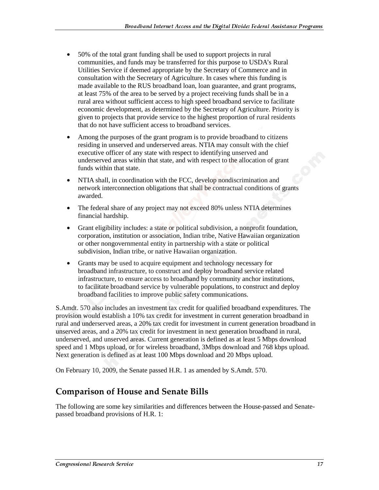- 50% of the total grant funding shall be used to support projects in rural communities, and funds may be transferred for this purpose to USDA's Rural Utilities Service if deemed appropriate by the Secretary of Commerce and in consultation with the Secretary of Agriculture. In cases where this funding is made available to the RUS broadband loan, loan guarantee, and grant programs, at least 75% of the area to be served by a project receiving funds shall be in a rural area without sufficient access to high speed broadband service to facilitate economic development, as determined by the Secretary of Agriculture. Priority is given to projects that provide service to the highest proportion of rural residents that do not have sufficient access to broadband services.
- Among the purposes of the grant program is to provide broadband to citizens residing in unserved and underserved areas. NTIA may consult with the chief executive officer of any state with respect to identifying unserved and underserved areas within that state, and with respect to the allocation of grant funds within that state.
- NTIA shall, in coordination with the FCC, develop nondiscrimination and network interconnection obligations that shall be contractual conditions of grants awarded.
- The federal share of any project may not exceed 80% unless NTIA determines financial hardship.
- Grant eligibility includes: a state or political subdivision, a nonprofit foundation, corporation, institution or association, Indian tribe, Native Hawaiian organization or other nongovernmental entity in partnership with a state or political subdivision, Indian tribe, or native Hawaiian organization.
- Grants may be used to acquire equipment and technology necessary for broadband infrastructure, to construct and deploy broadband service related infrastructure, to ensure access to broadband by community anchor institutions, to facilitate broadband service by vulnerable populations, to construct and deploy broadband facilities to improve public safety communications.

S.Amdt. 570 also includes an investment tax credit for qualified broadband expenditures. The provision would establish a 10% tax credit for investment in current generation broadband in rural and underserved areas, a 20% tax credit for investment in current generation broadband in unserved areas, and a 20% tax credit for investment in next generation broadband in rural, underserved, and unserved areas. Current generation is defined as at least 5 Mbps download speed and 1 Mbps upload, or for wireless broadband, 3Mbps download and 768 kbps upload. Next generation is defined as at least 100 Mbps download and 20 Mbps upload.

On February 10, 2009, the Senate passed H.R. 1 as amended by S.Amdt. 570.

### **Comparison of House and Senate Bills**

The following are some key similarities and differences between the House-passed and Senatepassed broadband provisions of H.R. 1: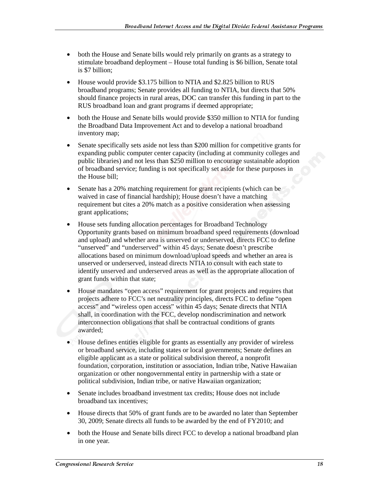- both the House and Senate bills would rely primarily on grants as a strategy to stimulate broadband deployment – House total funding is \$6 billion, Senate total is \$7 billion;
- House would provide \$3.175 billion to NTIA and \$2.825 billion to RUS broadband programs; Senate provides all funding to NTIA, but directs that 50% should finance projects in rural areas, DOC can transfer this funding in part to the RUS broadband loan and grant programs if deemed appropriate;
- both the House and Senate bills would provide \$350 million to NTIA for funding the Broadband Data Improvement Act and to develop a national broadband inventory map;
- Senate specifically sets aside not less than \$200 million for competitive grants for expanding public computer center capacity (including at community colleges and public libraries) and not less than \$250 million to encourage sustainable adoption of broadband service; funding is not specifically set aside for these purposes in the House bill;
- Senate has a 20% matching requirement for grant recipients (which can be waived in case of financial hardship); House doesn't have a matching requirement but cites a 20% match as a positive consideration when assessing grant applications;
- House sets funding allocation percentages for Broadband Technology Opportunity grants based on minimum broadband speed requirements (download and upload) and whether area is unserved or underserved, directs FCC to define "unserved" and "underserved" within 45 days; Senate doesn't prescribe allocations based on minimum download/upload speeds and whether an area is unserved or underserved, instead directs NTIA to consult with each state to identify unserved and underserved areas as well as the appropriate allocation of grant funds within that state;
- House mandates "open access" requirement for grant projects and requires that projects adhere to FCC's net neutrality principles, directs FCC to define "open access" and "wireless open access" within 45 days; Senate directs that NTIA shall, in coordination with the FCC, develop nondiscrimination and network interconnection obligations that shall be contractual conditions of grants awarded;
- House defines entities eligible for grants as essentially any provider of wireless or broadband service, including states or local governments; Senate defines an eligible applicant as a state or political subdivision thereof, a nonprofit foundation, corporation, institution or association, Indian tribe, Native Hawaiian organization or other nongovernmental entity in partnership with a state or political subdivision, Indian tribe, or native Hawaiian organization;
- Senate includes broadband investment tax credits: House does not include broadband tax incentives;
- House directs that 50% of grant funds are to be awarded no later than September 30, 2009; Senate directs all funds to be awarded by the end of FY2010; and
- both the House and Senate bills direct FCC to develop a national broadband plan in one year.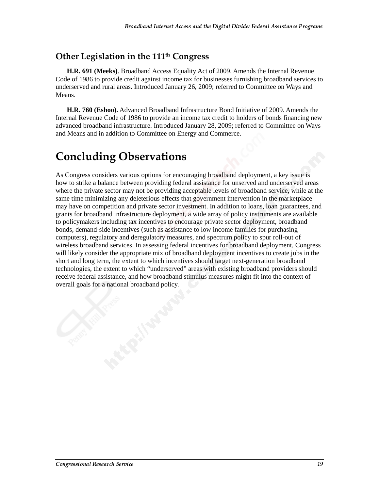### Other Legislation in the 111th Congress

**H.R. 691 (Meeks)**. Broadband Access Equality Act of 2009. Amends the Internal Revenue Code of 1986 to provide credit against income tax for businesses furnishing broadband services to underserved and rural areas. Introduced January 26, 2009; referred to Committee on Ways and Means.

**H.R. 760 (Eshoo).** Advanced Broadband Infrastructure Bond Initiative of 2009. Amends the Internal Revenue Code of 1986 to provide an income tax credit to holders of bonds financing new advanced broadband infrastructure. Introduced January 28, 2009; referred to Committee on Ways and Means and in addition to Committee on Energy and Commerce.

## **Concluding Observations**

As Congress considers various options for encouraging broadband deployment, a key issue is how to strike a balance between providing federal assistance for unserved and underserved areas where the private sector may not be providing acceptable levels of broadband service, while at the same time minimizing any deleterious effects that government intervention in the marketplace may have on competition and private sector investment. In addition to loans, loan guarantees, and grants for broadband infrastructure deployment, a wide array of policy instruments are available to policymakers including tax incentives to encourage private sector deployment, broadband bonds, demand-side incentives (such as assistance to low income families for purchasing computers), regulatory and deregulatory measures, and spectrum policy to spur roll-out of wireless broadband services. In assessing federal incentives for broadband deployment, Congress will likely consider the appropriate mix of broadband deployment incentives to create jobs in the short and long term, the extent to which incentives should target next-generation broadband technologies, the extent to which "underserved" areas with existing broadband providers should receive federal assistance, and how broadband stimulus measures might fit into the context of overall goals for a national broadband policy.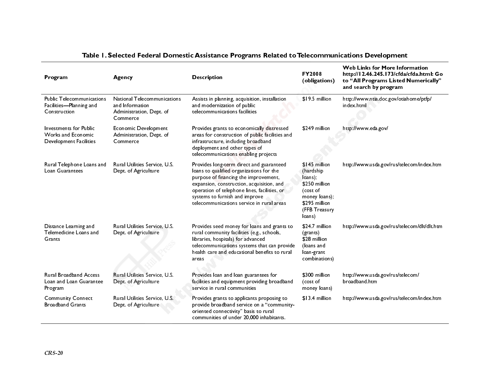| Program                                                                     | Agency                                                                                 | <b>Description</b>                                                                                                                                                                                                                                                                                        | <b>FY2008</b><br>(obligations)                                                                                                  | Web Links for More Information<br>http://12.46.245.173/cfda/cfda.html: Go<br>to "All Programs Listed Numerically"<br>and search by program |
|-----------------------------------------------------------------------------|----------------------------------------------------------------------------------------|-----------------------------------------------------------------------------------------------------------------------------------------------------------------------------------------------------------------------------------------------------------------------------------------------------------|---------------------------------------------------------------------------------------------------------------------------------|--------------------------------------------------------------------------------------------------------------------------------------------|
| <b>Public Telecommunications</b><br>Facilities-Planning and<br>Construction | National Telecommunications<br>and Information<br>Administration, Dept. of<br>Commerce | Assists in planning, acquisition, installation<br>and modernization of public<br>telecommunications facilities                                                                                                                                                                                            | \$19.5 million                                                                                                                  | http://www.ntia.doc.gov/otiahome/ptfp/<br>index.html                                                                                       |
| Investments for Public<br>Works and Economic<br>Development Facilities      | Economic Development<br>Administration, Dept. of<br>Commerce                           | Provides grants to economically distressed<br>areas for construction of public facilities and<br>infrastructure, including broadband<br>deployment and other types of<br>telecommunications enabling projects                                                                                             | \$249 million                                                                                                                   | http://www.eda.gov/                                                                                                                        |
| Rural Telephone Loans and<br>Loan Guarantees                                | Rural Utilities Service, U.S.<br>Dept. of Agriculture                                  | Provides long-term direct and guaranteed<br>loans to qualified organizations for the<br>purpose of financing the improvement,<br>expansion, construction, acquisition, and<br>operation of telephone lines, facilities, or<br>systems to furnish and improve<br>telecommunications service in rural areas | \$145 million<br>(hardship<br>loans);<br>\$250 million<br>(cost of<br>money loans);<br>\$295 million<br>(FFB Treasury<br>loans) | http://www.usda.gov/rus/telecom/index.htm                                                                                                  |
| Distance Learning and<br>Telemedicine Loans and<br>Grants                   | Rural Utilities Service, U.S.<br>Dept. of Agriculture                                  | Provides seed money for loans and grants to<br>rural community facilities (e.g., schools,<br>libraries, hospitals) for advanced<br>telecommunications systems that can provide<br>health care and educational benefits to rural<br>areas                                                                  | \$24.7 million<br>(grants)<br>\$28 million<br>(loans and<br>loan-grant<br>combinations)                                         | http://www.usda.gov/rus/telecom/dlt/dlt.htm                                                                                                |
| <b>Rural Broadband Access</b><br>Loan and Loan Guarantee<br>Program         | Rural Utilities Service, U.S.<br>Dept. of Agriculture                                  | Provides loan and loan guarantees for<br>facilities and equipment providing broadband<br>service in rural communities                                                                                                                                                                                     | \$300 million<br>(cost of<br>money loans)                                                                                       | http://www.usda.gov/rus/telecom/<br>broadband.htm                                                                                          |
| <b>Community Connect</b><br><b>Broadband Grants</b>                         | Rural Utilities Service, U.S.<br>Dept. of Agriculture                                  | Provides grants to applicants proposing to<br>provide broadband service on a "community-<br>oriented connectivity" basis to rural<br>communities of under 20,000 inhabitants.                                                                                                                             | \$13.4 million                                                                                                                  | http://www.usda.gov/rus/telecom/index.htm                                                                                                  |

#### Table 1. Selected Federal Domestic Assistance Programs Related to Telecommunications Development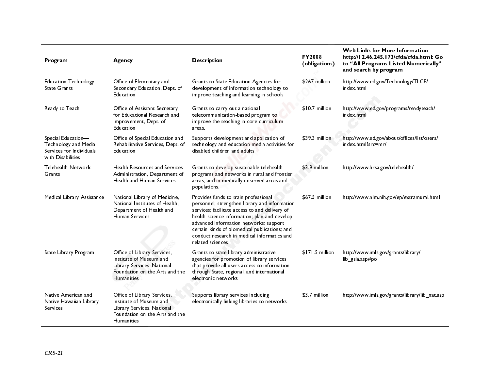| Program                                                                                     | Agency                                                                                                                                      | <b>Description</b>                                                                                                                                                                                                                                                                                                                                    | <b>FY2008</b><br>(obligations) | <b>Web Links for More Information</b><br>http://12.46.245.173/cfda/cfda.html: Go<br>to "All Programs Listed Numerically"<br>and search by program |
|---------------------------------------------------------------------------------------------|---------------------------------------------------------------------------------------------------------------------------------------------|-------------------------------------------------------------------------------------------------------------------------------------------------------------------------------------------------------------------------------------------------------------------------------------------------------------------------------------------------------|--------------------------------|---------------------------------------------------------------------------------------------------------------------------------------------------|
| <b>Education Technology</b><br><b>State Grants</b>                                          | Office of Elementary and<br>Secondary Education, Dept. of<br>Education                                                                      | Grants to State Education Agencies for<br>development of information technology to<br>improve teaching and learning in schools                                                                                                                                                                                                                        | \$267 million                  | http://www.ed.gov/Technology/TLCF/<br>index.html                                                                                                  |
| Ready to Teach                                                                              | Office of Assistant Secretary<br>for Educational Research and<br>Improvement, Dept. of<br>Education                                         | Grants to carry out a national<br>telecommunication-based program to<br>improve the teaching in core curriculum<br>areas.                                                                                                                                                                                                                             | \$10.7 million                 | http://www.ed.gov/programs/readyteach/<br>index.html                                                                                              |
| Special Education-<br>Technology and Media<br>Services for Individuals<br>with Disabilities | Office of Special Education and<br>Rehabilitative Services, Dept. of<br>Education                                                           | Supports development and application of<br>technology and education media activities for<br>disabled children and adults                                                                                                                                                                                                                              | \$39.3 million                 | http://www.ed.gov/about/offices/list/osers/<br>index.html?src=mr/                                                                                 |
| Telehealth Network<br>Grants                                                                | Health Resources and Services<br>Administration, Department of<br>Health and Human Services                                                 | Grants to develop sustainable telehealth<br>programs and networks in rural and frontier<br>areas, and in medically unserved areas and<br>populations.                                                                                                                                                                                                 | \$3.9 million                  | http://www.hrsa.gov/telehealth/                                                                                                                   |
| Medical Library Assistance                                                                  | National Library of Medicine,<br>National Institutes of Health,<br>Department of Health and<br>Human Services                               | Provides funds to train professional<br>personnel; strengthen library and information<br>services; facilitate access to and delivery of<br>health science information; plan and develop<br>advanced information networks; support<br>certain kinds of biomedical publications; and<br>conduct research in medical informatics and<br>related sciences | \$67.5 million                 | http://www.nlm.nih.gov/ep/extramural.html                                                                                                         |
| State Library Program                                                                       | Office of Library Services,<br>Institute of Museum and<br>Library Services, National<br>Foundation on the Arts and the<br><b>Humanities</b> | Grants to state library administrative<br>agencies for promotion of library services<br>that provide all users access to information<br>through State, regional, and international<br>electronic networks                                                                                                                                             | \$171.5 million                | http://www.imls.gov/grants/library/<br>lib_gsla.asp#po                                                                                            |
| Native American and<br>Native Hawaiian Library<br>Services                                  | Office of Library Services,<br>Institute of Museum and<br>Library Services, National<br>Foundation on the Arts and the<br><b>Humanities</b> | Supports library services including<br>electronically linking libraries to networks                                                                                                                                                                                                                                                                   | \$3.7 million                  | http://www.imls.gov/grants/library/lib nat.asp                                                                                                    |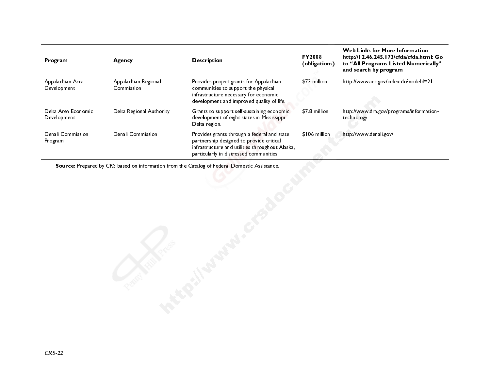| Program                            | Agency                             | <b>Description</b>                                                                                                                                                                   | <b>FY2008</b><br>(obligations) | Web Links for More Information<br>http://12.46.245.173/cfda/cfda.html: Go<br>to "All Programs Listed Numerically"<br>and search by program |
|------------------------------------|------------------------------------|--------------------------------------------------------------------------------------------------------------------------------------------------------------------------------------|--------------------------------|--------------------------------------------------------------------------------------------------------------------------------------------|
| Appalachian Area<br>Development    | Appalachian Regional<br>Commission | Provides project grants for Appalachian<br>communities to support the physical<br>infrastructure necessary for economic<br>development and improved quality of life.                 | \$73 million                   | http://www.arc.gov/index.do?nodeld=21                                                                                                      |
| Delta Area Economic<br>Development | Delta Regional Authority           | Grants to support self-sustaining economic<br>development of eight states in Mississippi<br>Delta region.                                                                            | \$7.8 million                  | http://www.dra.gov/programs/information-<br>technology                                                                                     |
| Denali Commission<br>Program       | Denali Commission                  | Provides grants through a federal and state<br>partnership designed to provide critical<br>infrastructure and utilities throughout Alaska,<br>particularly in distressed communities | \$106 million                  | http://www.denali.gov/                                                                                                                     |

Source: Prepared by CRS based on information from the Catalog of Federal Domestic Assistance.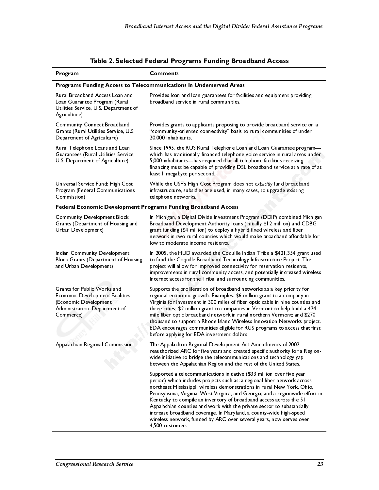| Program                                                                                                                                      | Comments                                                                                                                                                                                                                                                                                                                                                                                                                                                                                                                                                                                                                                                                                              |
|----------------------------------------------------------------------------------------------------------------------------------------------|-------------------------------------------------------------------------------------------------------------------------------------------------------------------------------------------------------------------------------------------------------------------------------------------------------------------------------------------------------------------------------------------------------------------------------------------------------------------------------------------------------------------------------------------------------------------------------------------------------------------------------------------------------------------------------------------------------|
| Rural Broadband Access Loan and<br>Loan Guarantee Program (Rural                                                                             | Programs Funding Access to Telecommunications in Underserved Areas<br>Provides loan and loan guarantees for facilities and equipment providing<br>broadband service in rural communities.                                                                                                                                                                                                                                                                                                                                                                                                                                                                                                             |
| Utilities Service, U.S. Department of<br>Agriculture)<br><b>Community Connect Broadband</b>                                                  | Provides grants to applicants proposing to provide broadband service on a                                                                                                                                                                                                                                                                                                                                                                                                                                                                                                                                                                                                                             |
| Grants (Rural Utilities Service, U.S.<br>Department of Agriculture)<br>Rural Telephone Loans and Loan                                        | "community-oriented connectivity" basis to rural communities of under<br>20,000 inhabitants.<br>Since 1995, the RUS Rural Telephone Loan and Loan Guarantee program-                                                                                                                                                                                                                                                                                                                                                                                                                                                                                                                                  |
| Guarantees (Rural Utilities Service,<br>U.S. Department of Agriculture)                                                                      | which has traditionally financed telephone voice service in rural areas under<br>5,000 inhabitants-has required that all telephone facilities receiving<br>financing must be capable of providing DSL broadband service at a rate of at<br>least I megabyte per second.                                                                                                                                                                                                                                                                                                                                                                                                                               |
| Universal Service Fund: High Cost<br>Program (Federal Communications<br>Commission)                                                          | While the USF's High Cost Program does not explicitly fund broadband<br>infrastructure, subsidies are used, in many cases, to upgrade existing<br>telephone networks.                                                                                                                                                                                                                                                                                                                                                                                                                                                                                                                                 |
| <b>Community Development Block</b>                                                                                                           | Federal Economic Development Programs Funding Broadband Access<br>In Michigan, a Digital Divide Investment Program (DDIP) combined Michigan                                                                                                                                                                                                                                                                                                                                                                                                                                                                                                                                                           |
| Grants (Department of Housing and<br>Urban Development)                                                                                      | Broadband Development Authority loans (initially \$12 million) and CDBG<br>grant funding (\$4 million) to deploy a hybrid fixed wireless and fiber<br>network in two rural counties which would make broadband affordable for<br>low to moderate income residents.                                                                                                                                                                                                                                                                                                                                                                                                                                    |
| Indian Community Development<br><b>Block Grants (Department of Housing</b><br>and Urban Development)                                         | In 2005, the HUD awarded the Coquille Indian Tribe a \$421,354 grant used<br>to fund the Coquille Broadband Technology Infrastructure Project. The<br>project will allow for improved connectivity for reservation residents,<br>improvements in rural community access, and potentially increased wireless<br>Internet access for the Tribal and surrounding communities.                                                                                                                                                                                                                                                                                                                            |
| Grants for Public Works and<br><b>Economic Development Facilities</b><br>(Economic Development<br>Administration, Department of<br>Commerce) | Supports the proliferation of broadband networks as a key priority for<br>regional economic growth. Examples: \$6 million grant to a company in<br>Virginia for investment in 300 miles of fiber optic cable in nine counties and<br>three cities; \$2 million grant to companies in Vermont to help build a 424<br>mile fiber optic broadband network in rural northern Vermont; and \$270<br>thousand to support a Rhode Island Wireless Innovation Networks project.<br>EDA encourages communities eligible for RUS programs to access that first<br>before applying for EDA investment dollars.                                                                                                   |
| Appalachian Regional Commission                                                                                                              | The Appalachian Regional Development Act Amendments of 2002<br>reauthorized ARC for five years and created specific authority for a Region-<br>wide initiative to bridge the telecommunications and technology gap                                                                                                                                                                                                                                                                                                                                                                                                                                                                                    |
|                                                                                                                                              | between the Appalachian Region and the rest of the United States.<br>Supported a telecommunications initiative (\$33 million over five year<br>period) which includes projects such as: a regional fiber network across<br>northeast Mississippi; wireless demonstrations in rural New York, Ohio,<br>Pennsylvania, Virginia, West Virginia, and Georgia; and a regionwide effort in<br>Kentucky to compile an inventory of broadband access across the 51<br>Appalachian counties and work with the private sector to substantially<br>increase broadband coverage. In Maryland, a county-wide high-speed<br>wireless network, funded by ARC over several years, now serves over<br>4,500 customers. |
| Congressional Research Service                                                                                                               | 23                                                                                                                                                                                                                                                                                                                                                                                                                                                                                                                                                                                                                                                                                                    |
|                                                                                                                                              |                                                                                                                                                                                                                                                                                                                                                                                                                                                                                                                                                                                                                                                                                                       |
|                                                                                                                                              |                                                                                                                                                                                                                                                                                                                                                                                                                                                                                                                                                                                                                                                                                                       |
|                                                                                                                                              |                                                                                                                                                                                                                                                                                                                                                                                                                                                                                                                                                                                                                                                                                                       |
|                                                                                                                                              |                                                                                                                                                                                                                                                                                                                                                                                                                                                                                                                                                                                                                                                                                                       |
|                                                                                                                                              |                                                                                                                                                                                                                                                                                                                                                                                                                                                                                                                                                                                                                                                                                                       |
|                                                                                                                                              |                                                                                                                                                                                                                                                                                                                                                                                                                                                                                                                                                                                                                                                                                                       |
|                                                                                                                                              |                                                                                                                                                                                                                                                                                                                                                                                                                                                                                                                                                                                                                                                                                                       |
|                                                                                                                                              |                                                                                                                                                                                                                                                                                                                                                                                                                                                                                                                                                                                                                                                                                                       |
|                                                                                                                                              |                                                                                                                                                                                                                                                                                                                                                                                                                                                                                                                                                                                                                                                                                                       |
|                                                                                                                                              |                                                                                                                                                                                                                                                                                                                                                                                                                                                                                                                                                                                                                                                                                                       |
|                                                                                                                                              |                                                                                                                                                                                                                                                                                                                                                                                                                                                                                                                                                                                                                                                                                                       |
|                                                                                                                                              |                                                                                                                                                                                                                                                                                                                                                                                                                                                                                                                                                                                                                                                                                                       |
|                                                                                                                                              |                                                                                                                                                                                                                                                                                                                                                                                                                                                                                                                                                                                                                                                                                                       |
|                                                                                                                                              |                                                                                                                                                                                                                                                                                                                                                                                                                                                                                                                                                                                                                                                                                                       |
|                                                                                                                                              |                                                                                                                                                                                                                                                                                                                                                                                                                                                                                                                                                                                                                                                                                                       |
|                                                                                                                                              |                                                                                                                                                                                                                                                                                                                                                                                                                                                                                                                                                                                                                                                                                                       |
|                                                                                                                                              |                                                                                                                                                                                                                                                                                                                                                                                                                                                                                                                                                                                                                                                                                                       |
|                                                                                                                                              |                                                                                                                                                                                                                                                                                                                                                                                                                                                                                                                                                                                                                                                                                                       |
|                                                                                                                                              |                                                                                                                                                                                                                                                                                                                                                                                                                                                                                                                                                                                                                                                                                                       |
|                                                                                                                                              |                                                                                                                                                                                                                                                                                                                                                                                                                                                                                                                                                                                                                                                                                                       |
|                                                                                                                                              |                                                                                                                                                                                                                                                                                                                                                                                                                                                                                                                                                                                                                                                                                                       |
|                                                                                                                                              |                                                                                                                                                                                                                                                                                                                                                                                                                                                                                                                                                                                                                                                                                                       |
|                                                                                                                                              |                                                                                                                                                                                                                                                                                                                                                                                                                                                                                                                                                                                                                                                                                                       |
|                                                                                                                                              |                                                                                                                                                                                                                                                                                                                                                                                                                                                                                                                                                                                                                                                                                                       |
|                                                                                                                                              |                                                                                                                                                                                                                                                                                                                                                                                                                                                                                                                                                                                                                                                                                                       |
|                                                                                                                                              |                                                                                                                                                                                                                                                                                                                                                                                                                                                                                                                                                                                                                                                                                                       |
|                                                                                                                                              |                                                                                                                                                                                                                                                                                                                                                                                                                                                                                                                                                                                                                                                                                                       |
|                                                                                                                                              |                                                                                                                                                                                                                                                                                                                                                                                                                                                                                                                                                                                                                                                                                                       |
|                                                                                                                                              |                                                                                                                                                                                                                                                                                                                                                                                                                                                                                                                                                                                                                                                                                                       |
|                                                                                                                                              |                                                                                                                                                                                                                                                                                                                                                                                                                                                                                                                                                                                                                                                                                                       |
|                                                                                                                                              |                                                                                                                                                                                                                                                                                                                                                                                                                                                                                                                                                                                                                                                                                                       |
|                                                                                                                                              |                                                                                                                                                                                                                                                                                                                                                                                                                                                                                                                                                                                                                                                                                                       |
|                                                                                                                                              |                                                                                                                                                                                                                                                                                                                                                                                                                                                                                                                                                                                                                                                                                                       |
|                                                                                                                                              |                                                                                                                                                                                                                                                                                                                                                                                                                                                                                                                                                                                                                                                                                                       |
|                                                                                                                                              |                                                                                                                                                                                                                                                                                                                                                                                                                                                                                                                                                                                                                                                                                                       |
|                                                                                                                                              |                                                                                                                                                                                                                                                                                                                                                                                                                                                                                                                                                                                                                                                                                                       |
|                                                                                                                                              |                                                                                                                                                                                                                                                                                                                                                                                                                                                                                                                                                                                                                                                                                                       |
|                                                                                                                                              |                                                                                                                                                                                                                                                                                                                                                                                                                                                                                                                                                                                                                                                                                                       |
|                                                                                                                                              |                                                                                                                                                                                                                                                                                                                                                                                                                                                                                                                                                                                                                                                                                                       |
|                                                                                                                                              |                                                                                                                                                                                                                                                                                                                                                                                                                                                                                                                                                                                                                                                                                                       |
|                                                                                                                                              |                                                                                                                                                                                                                                                                                                                                                                                                                                                                                                                                                                                                                                                                                                       |
|                                                                                                                                              |                                                                                                                                                                                                                                                                                                                                                                                                                                                                                                                                                                                                                                                                                                       |
|                                                                                                                                              |                                                                                                                                                                                                                                                                                                                                                                                                                                                                                                                                                                                                                                                                                                       |
|                                                                                                                                              |                                                                                                                                                                                                                                                                                                                                                                                                                                                                                                                                                                                                                                                                                                       |
|                                                                                                                                              |                                                                                                                                                                                                                                                                                                                                                                                                                                                                                                                                                                                                                                                                                                       |
|                                                                                                                                              |                                                                                                                                                                                                                                                                                                                                                                                                                                                                                                                                                                                                                                                                                                       |

#### Table 2. Selected Federal Programs Funding Broadband Access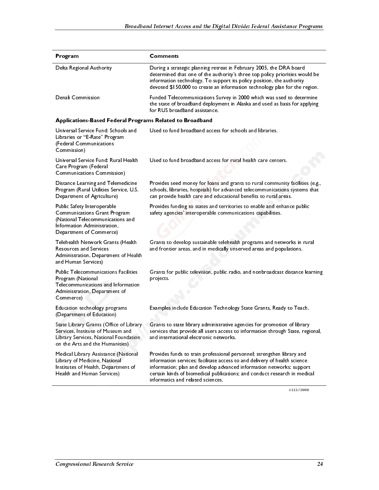| Program                                                                                                    | <b>Comments</b>                                                                                                                                                                                                                  |
|------------------------------------------------------------------------------------------------------------|----------------------------------------------------------------------------------------------------------------------------------------------------------------------------------------------------------------------------------|
| Delta Regional Authority                                                                                   | During a strategic planning retreat in February 2005, the DRA board<br>determined that one of the authority's three top policy priorities would be<br>information technology. To support its policy position, the authority      |
|                                                                                                            | devoted \$150,000 to create an information technology plan for the region.                                                                                                                                                       |
| Denali Commission                                                                                          | Funded Telecommunications Survey in 2000 which was used to determine<br>the state of broadband deployment in Alaska and used as basis for applying<br>for RUS broadband assistance.                                              |
| Applications-Based Federal Programs Related to Broadband<br>Universal Service Fund: Schools and            | Used to fund broadband access for schools and libraries.                                                                                                                                                                         |
| Libraries or "E-Rate" Program<br>(Federal Communications                                                   |                                                                                                                                                                                                                                  |
| Commission)<br>Universal Service Fund: Rural Health                                                        | Used to fund broadband access for rural health care centers.                                                                                                                                                                     |
| Care Program (Federal<br>Communications Commission)                                                        |                                                                                                                                                                                                                                  |
| Distance Learning and Telemedicine<br>Program (Rural Utilities Service, U.S.<br>Department of Agriculture) | Provides seed money for loans and grants to rural community facilities (e.g.,<br>schools, libraries, hospitals) for advanced telecommunications systems that<br>can provide health care and educational benefits to rural areas. |
| Public Safety Interoperable<br>Communications Grant Program                                                | Provides funding to states and territories to enable and enhance public<br>safety agencies' interoperable communications capabilities.                                                                                           |
| (National Telecommunications and<br>Information Administration,                                            |                                                                                                                                                                                                                                  |
| Department of Commerce)<br>Telehealth Network Grants (Health                                               | Grants to develop sustainable telehealth programs and networks in rural                                                                                                                                                          |
| Resources and Services<br>Administration, Department of Health                                             | and frontier areas, and in medically unserved areas and populations.                                                                                                                                                             |
| and Human Services)<br>Public Telecommunications Facilities                                                | Grants for public television, public radio, and nonbroadcast distance learning                                                                                                                                                   |
| Program (National<br>Telecommunications and Information<br>Administration, Department of                   | projects.                                                                                                                                                                                                                        |
| Commerce)<br>Education technology programs                                                                 | Examples include Education Technology State Grants, Ready to Teach.                                                                                                                                                              |
| (Department of Education)<br>State Library Grants (Office of Library                                       | Grants to state library administrative agencies for promotion of library                                                                                                                                                         |
| Services, Institute of Museum and<br>Library Services, National Foundation                                 | services that provide all users access to information through State, regional,<br>and international electronic networks.                                                                                                         |
| on the Arts and the Humanities)<br>Medical Library Assistance (National                                    | Provides funds to train professional personnel; strengthen library and                                                                                                                                                           |
| Library of Medicine, National<br>Institutes of Health, Department of<br>Health and Human Services)         | information services; facilitate access to and delivery of health science<br>information; plan and develop advanced information networks; support<br>certain kinds of biomedical publications; and conduct research in medical   |
|                                                                                                            | informatics and related sciences.<br>c11173008                                                                                                                                                                                   |
|                                                                                                            |                                                                                                                                                                                                                                  |
|                                                                                                            |                                                                                                                                                                                                                                  |
|                                                                                                            |                                                                                                                                                                                                                                  |
|                                                                                                            |                                                                                                                                                                                                                                  |
| Congressional Research Service                                                                             | 24                                                                                                                                                                                                                               |
|                                                                                                            |                                                                                                                                                                                                                                  |
|                                                                                                            |                                                                                                                                                                                                                                  |
|                                                                                                            |                                                                                                                                                                                                                                  |
|                                                                                                            |                                                                                                                                                                                                                                  |
|                                                                                                            |                                                                                                                                                                                                                                  |
|                                                                                                            |                                                                                                                                                                                                                                  |
|                                                                                                            |                                                                                                                                                                                                                                  |
|                                                                                                            |                                                                                                                                                                                                                                  |
|                                                                                                            |                                                                                                                                                                                                                                  |
|                                                                                                            |                                                                                                                                                                                                                                  |
|                                                                                                            |                                                                                                                                                                                                                                  |
|                                                                                                            |                                                                                                                                                                                                                                  |
|                                                                                                            |                                                                                                                                                                                                                                  |
|                                                                                                            |                                                                                                                                                                                                                                  |
|                                                                                                            |                                                                                                                                                                                                                                  |
|                                                                                                            |                                                                                                                                                                                                                                  |
|                                                                                                            |                                                                                                                                                                                                                                  |
|                                                                                                            |                                                                                                                                                                                                                                  |
|                                                                                                            |                                                                                                                                                                                                                                  |
|                                                                                                            |                                                                                                                                                                                                                                  |
|                                                                                                            |                                                                                                                                                                                                                                  |
|                                                                                                            |                                                                                                                                                                                                                                  |
|                                                                                                            |                                                                                                                                                                                                                                  |
|                                                                                                            |                                                                                                                                                                                                                                  |
|                                                                                                            |                                                                                                                                                                                                                                  |
|                                                                                                            |                                                                                                                                                                                                                                  |
|                                                                                                            |                                                                                                                                                                                                                                  |
|                                                                                                            |                                                                                                                                                                                                                                  |
|                                                                                                            |                                                                                                                                                                                                                                  |
|                                                                                                            |                                                                                                                                                                                                                                  |
|                                                                                                            |                                                                                                                                                                                                                                  |
|                                                                                                            |                                                                                                                                                                                                                                  |
|                                                                                                            |                                                                                                                                                                                                                                  |
|                                                                                                            |                                                                                                                                                                                                                                  |
|                                                                                                            |                                                                                                                                                                                                                                  |
|                                                                                                            |                                                                                                                                                                                                                                  |
|                                                                                                            |                                                                                                                                                                                                                                  |
|                                                                                                            |                                                                                                                                                                                                                                  |
|                                                                                                            |                                                                                                                                                                                                                                  |
|                                                                                                            |                                                                                                                                                                                                                                  |
|                                                                                                            |                                                                                                                                                                                                                                  |
|                                                                                                            |                                                                                                                                                                                                                                  |
|                                                                                                            |                                                                                                                                                                                                                                  |
|                                                                                                            |                                                                                                                                                                                                                                  |
|                                                                                                            |                                                                                                                                                                                                                                  |
|                                                                                                            |                                                                                                                                                                                                                                  |
|                                                                                                            |                                                                                                                                                                                                                                  |
|                                                                                                            |                                                                                                                                                                                                                                  |
|                                                                                                            |                                                                                                                                                                                                                                  |
|                                                                                                            |                                                                                                                                                                                                                                  |
|                                                                                                            |                                                                                                                                                                                                                                  |
|                                                                                                            |                                                                                                                                                                                                                                  |
|                                                                                                            |                                                                                                                                                                                                                                  |
|                                                                                                            |                                                                                                                                                                                                                                  |
|                                                                                                            |                                                                                                                                                                                                                                  |
|                                                                                                            |                                                                                                                                                                                                                                  |
|                                                                                                            |                                                                                                                                                                                                                                  |
|                                                                                                            |                                                                                                                                                                                                                                  |
|                                                                                                            |                                                                                                                                                                                                                                  |
|                                                                                                            |                                                                                                                                                                                                                                  |
|                                                                                                            |                                                                                                                                                                                                                                  |
|                                                                                                            |                                                                                                                                                                                                                                  |
|                                                                                                            |                                                                                                                                                                                                                                  |
|                                                                                                            |                                                                                                                                                                                                                                  |
|                                                                                                            |                                                                                                                                                                                                                                  |
|                                                                                                            |                                                                                                                                                                                                                                  |
|                                                                                                            |                                                                                                                                                                                                                                  |
|                                                                                                            |                                                                                                                                                                                                                                  |
|                                                                                                            |                                                                                                                                                                                                                                  |
|                                                                                                            |                                                                                                                                                                                                                                  |
|                                                                                                            |                                                                                                                                                                                                                                  |
|                                                                                                            |                                                                                                                                                                                                                                  |
|                                                                                                            |                                                                                                                                                                                                                                  |